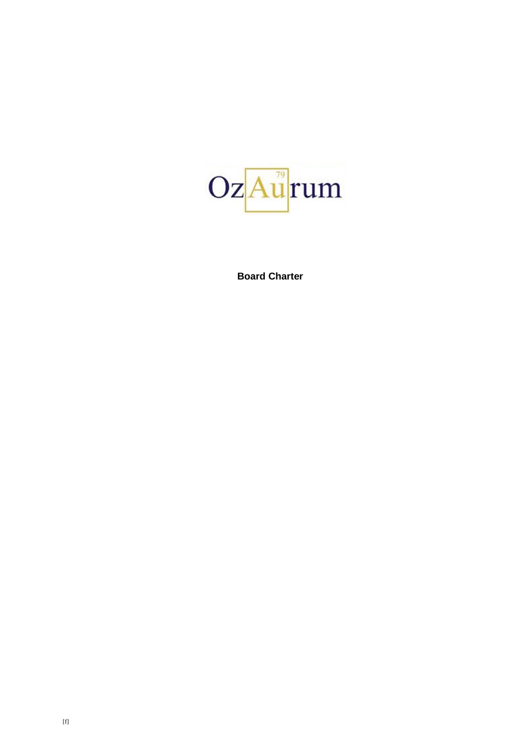

**Board Charter**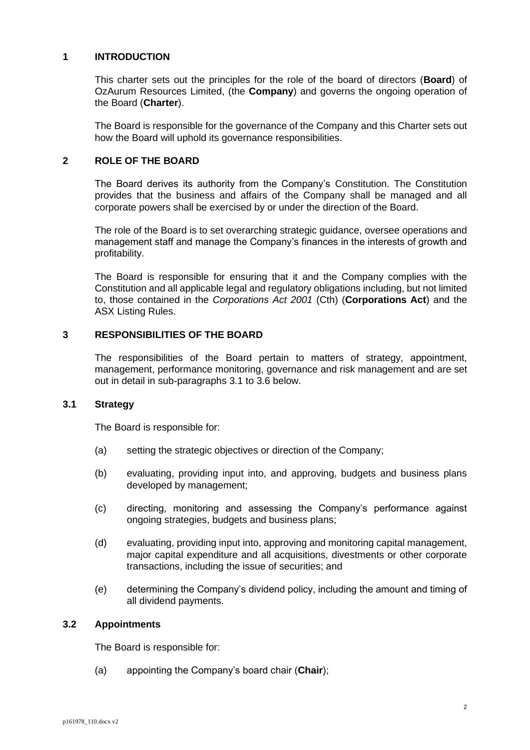## **1 INTRODUCTION**

This charter sets out the principles for the role of the board of directors (**Board**) of OzAurum Resources Limited, (the **Company**) and governs the ongoing operation of the Board (**Charter**).

The Board is responsible for the governance of the Company and this Charter sets out how the Board will uphold its governance responsibilities.

## **2 ROLE OF THE BOARD**

The Board derives its authority from the Company's Constitution. The Constitution provides that the business and affairs of the Company shall be managed and all corporate powers shall be exercised by or under the direction of the Board.

The role of the Board is to set overarching strategic guidance, oversee operations and management staff and manage the Company's finances in the interests of growth and profitability.

The Board is responsible for ensuring that it and the Company complies with the Constitution and all applicable legal and regulatory obligations including, but not limited to, those contained in the *Corporations Act 2001* (Cth) (**Corporations Act**) and the ASX Listing Rules.

## **3 RESPONSIBILITIES OF THE BOARD**

The responsibilities of the Board pertain to matters of strategy, appointment, management, performance monitoring, governance and risk management and are set out in detail in sub-paragraphs [3.1](#page-1-0) to [3.6](#page-3-0) below.

# <span id="page-1-0"></span>**3.1 Strategy**

The Board is responsible for:

- (a) setting the strategic objectives or direction of the Company;
- (b) evaluating, providing input into, and approving, budgets and business plans developed by management;
- (c) directing, monitoring and assessing the Company's performance against ongoing strategies, budgets and business plans;
- (d) evaluating, providing input into, approving and monitoring capital management, major capital expenditure and all acquisitions, divestments or other corporate transactions, including the issue of securities; and
- (e) determining the Company's dividend policy, including the amount and timing of all dividend payments.

# **3.2 Appointments**

The Board is responsible for:

(a) appointing the Company's board chair (**Chair**);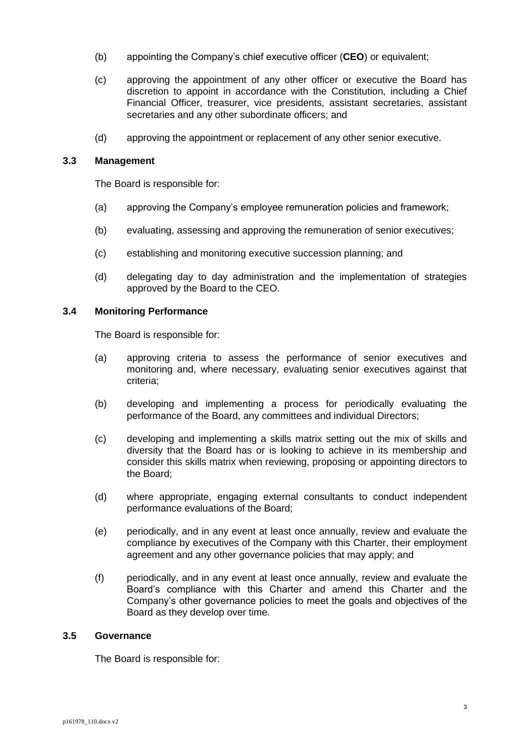- (b) appointing the Company's chief executive officer (**CEO**) or equivalent;
- (c) approving the appointment of any other officer or executive the Board has discretion to appoint in accordance with the Constitution, including a Chief Financial Officer, treasurer, vice presidents, assistant secretaries, assistant secretaries and any other subordinate officers; and
- (d) approving the appointment or replacement of any other senior executive.

### **3.3 Management**

The Board is responsible for:

- (a) approving the Company's employee remuneration policies and framework;
- (b) evaluating, assessing and approving the remuneration of senior executives;
- (c) establishing and monitoring executive succession planning; and
- (d) delegating day to day administration and the implementation of strategies approved by the Board to the CEO.

## **3.4 Monitoring Performance**

The Board is responsible for:

- (a) approving criteria to assess the performance of senior executives and monitoring and, where necessary, evaluating senior executives against that criteria;
- (b) developing and implementing a process for periodically evaluating the performance of the Board, any committees and individual Directors;
- (c) developing and implementing a skills matrix setting out the mix of skills and diversity that the Board has or is looking to achieve in its membership and consider this skills matrix when reviewing, proposing or appointing directors to the Board;
- (d) where appropriate, engaging external consultants to conduct independent performance evaluations of the Board;
- (e) periodically, and in any event at least once annually, review and evaluate the compliance by executives of the Company with this Charter, their employment agreement and any other governance policies that may apply; and
- (f) periodically, and in any event at least once annually, review and evaluate the Board's compliance with this Charter and amend this Charter and the Company's other governance policies to meet the goals and objectives of the Board as they develop over time.

#### **3.5 Governance**

The Board is responsible for: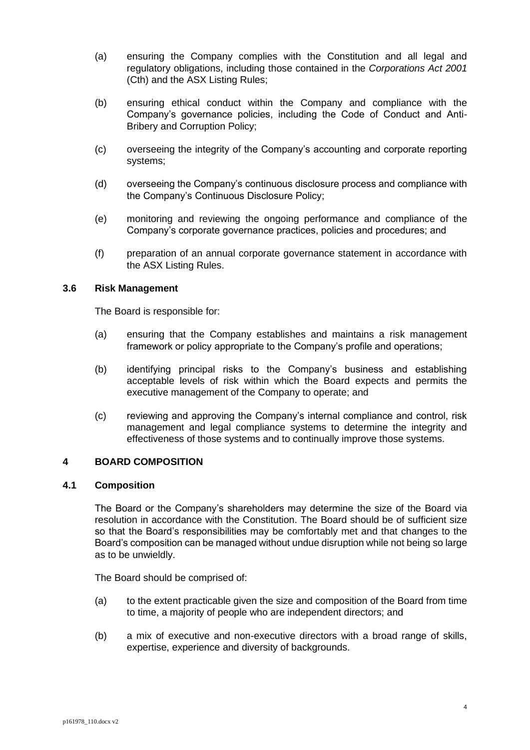- (a) ensuring the Company complies with the Constitution and all legal and regulatory obligations, including those contained in the *Corporations Act 2001* (Cth) and the ASX Listing Rules;
- (b) ensuring ethical conduct within the Company and compliance with the Company's governance policies, including the Code of Conduct and Anti-Bribery and Corruption Policy;
- (c) overseeing the integrity of the Company's accounting and corporate reporting systems;
- (d) overseeing the Company's continuous disclosure process and compliance with the Company's Continuous Disclosure Policy;
- (e) monitoring and reviewing the ongoing performance and compliance of the Company's corporate governance practices, policies and procedures; and
- (f) preparation of an annual corporate governance statement in accordance with the ASX Listing Rules.

# <span id="page-3-0"></span>**3.6 Risk Management**

The Board is responsible for:

- (a) ensuring that the Company establishes and maintains a risk management framework or policy appropriate to the Company's profile and operations;
- (b) identifying principal risks to the Company's business and establishing acceptable levels of risk within which the Board expects and permits the executive management of the Company to operate; and
- (c) reviewing and approving the Company's internal compliance and control, risk management and legal compliance systems to determine the integrity and effectiveness of those systems and to continually improve those systems.

# **4 BOARD COMPOSITION**

## **4.1 Composition**

The Board or the Company's shareholders may determine the size of the Board via resolution in accordance with the Constitution. The Board should be of sufficient size so that the Board's responsibilities may be comfortably met and that changes to the Board's composition can be managed without undue disruption while not being so large as to be unwieldly.

The Board should be comprised of:

- <span id="page-3-1"></span>(a) to the extent practicable given the size and composition of the Board from time to time, a majority of people who are independent directors; and
- (b) a mix of executive and non-executive directors with a broad range of skills, expertise, experience and diversity of backgrounds.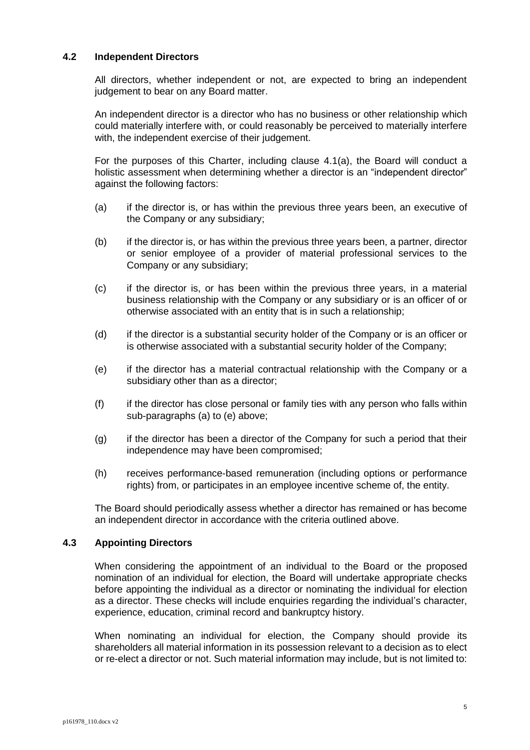## **4.2 Independent Directors**

All directors, whether independent or not, are expected to bring an independent judgement to bear on any Board matter.

An independent director is a director who has no business or other relationship which could materially interfere with, or could reasonably be perceived to materially interfere with, the independent exercise of their judgement.

For the purposes of this Charter, including clause [4.1\(a\),](#page-3-1) the Board will conduct a holistic assessment when determining whether a director is an "independent director" against the following factors:

- (a) if the director is, or has within the previous three years been, an executive of the Company or any subsidiary;
- (b) if the director is, or has within the previous three years been, a partner, director or senior employee of a provider of material professional services to the Company or any subsidiary;
- (c) if the director is, or has been within the previous three years, in a material business relationship with the Company or any subsidiary or is an officer of or otherwise associated with an entity that is in such a relationship;
- (d) if the director is a substantial security holder of the Company or is an officer or is otherwise associated with a substantial security holder of the Company;
- (e) if the director has a material contractual relationship with the Company or a subsidiary other than as a director;
- (f) if the director has close personal or family ties with any person who falls within sub-paragraphs (a) to (e) above;
- (g) if the director has been a director of the Company for such a period that their independence may have been compromised;
- (h) receives performance-based remuneration (including options or performance rights) from, or participates in an employee incentive scheme of, the entity.

The Board should periodically assess whether a director has remained or has become an independent director in accordance with the criteria outlined above.

### **4.3 Appointing Directors**

When considering the appointment of an individual to the Board or the proposed nomination of an individual for election, the Board will undertake appropriate checks before appointing the individual as a director or nominating the individual for election as a director. These checks will include enquiries regarding the individual's character, experience, education, criminal record and bankruptcy history.

When nominating an individual for election, the Company should provide its shareholders all material information in its possession relevant to a decision as to elect or re-elect a director or not. Such material information may include, but is not limited to: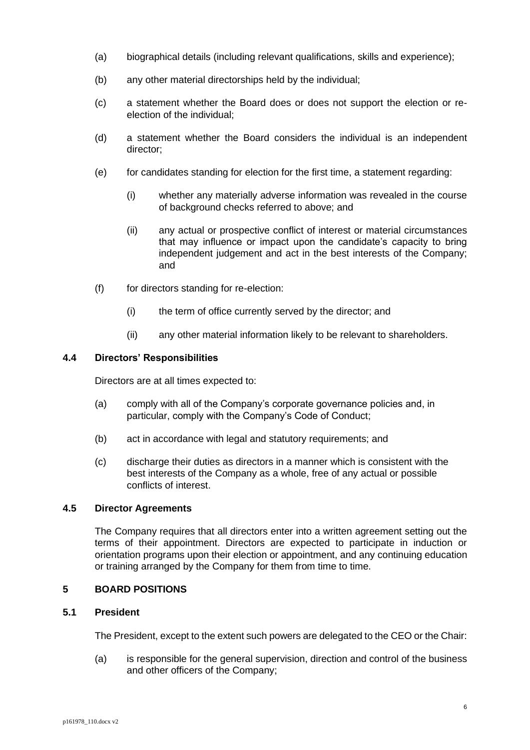- (a) biographical details (including relevant qualifications, skills and experience);
- (b) any other material directorships held by the individual;
- (c) a statement whether the Board does or does not support the election or reelection of the individual;
- (d) a statement whether the Board considers the individual is an independent director;
- (e) for candidates standing for election for the first time, a statement regarding:
	- (i) whether any materially adverse information was revealed in the course of background checks referred to above; and
	- (ii) any actual or prospective conflict of interest or material circumstances that may influence or impact upon the candidate's capacity to bring independent judgement and act in the best interests of the Company; and
- (f) for directors standing for re-election:
	- (i) the term of office currently served by the director; and
	- (ii) any other material information likely to be relevant to shareholders.

## **4.4 Directors' Responsibilities**

Directors are at all times expected to:

- (a) comply with all of the Company's corporate governance policies and, in particular, comply with the Company's Code of Conduct;
- (b) act in accordance with legal and statutory requirements; and
- (c) discharge their duties as directors in a manner which is consistent with the best interests of the Company as a whole, free of any actual or possible conflicts of interest.

# **4.5 Director Agreements**

The Company requires that all directors enter into a written agreement setting out the terms of their appointment. Directors are expected to participate in induction or orientation programs upon their election or appointment, and any continuing education or training arranged by the Company for them from time to time.

# **5 BOARD POSITIONS**

# **5.1 President**

The President, except to the extent such powers are delegated to the CEO or the Chair:

(a) is responsible for the general supervision, direction and control of the business and other officers of the Company;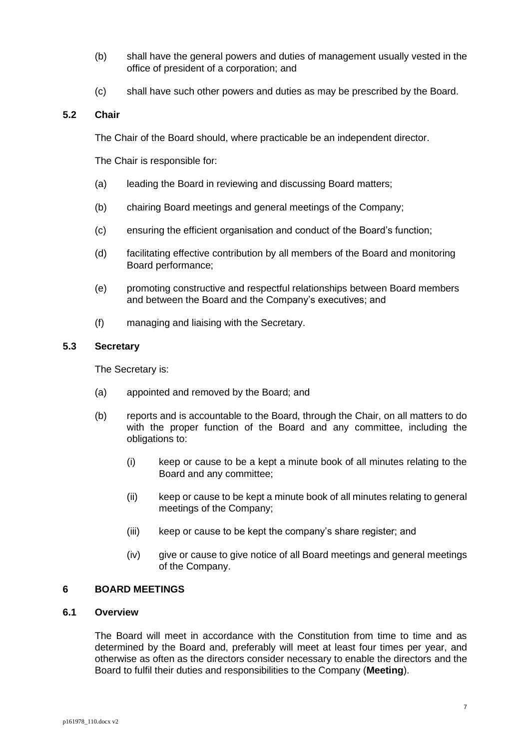- (b) shall have the general powers and duties of management usually vested in the office of president of a corporation; and
- (c) shall have such other powers and duties as may be prescribed by the Board.

# **5.2 Chair**

The Chair of the Board should, where practicable be an independent director.

The Chair is responsible for:

- (a) leading the Board in reviewing and discussing Board matters;
- (b) chairing Board meetings and general meetings of the Company;
- (c) ensuring the efficient organisation and conduct of the Board's function;
- (d) facilitating effective contribution by all members of the Board and monitoring Board performance;
- (e) promoting constructive and respectful relationships between Board members and between the Board and the Company's executives; and
- (f) managing and liaising with the Secretary.

# **5.3 Secretary**

The Secretary is:

- (a) appointed and removed by the Board; and
- (b) reports and is accountable to the Board, through the Chair, on all matters to do with the proper function of the Board and any committee, including the obligations to:
	- (i) keep or cause to be a kept a minute book of all minutes relating to the Board and any committee;
	- (ii) keep or cause to be kept a minute book of all minutes relating to general meetings of the Company;
	- (iii) keep or cause to be kept the company's share register; and
	- (iv) give or cause to give notice of all Board meetings and general meetings of the Company.

### **6 BOARD MEETINGS**

# **6.1 Overview**

The Board will meet in accordance with the Constitution from time to time and as determined by the Board and, preferably will meet at least four times per year, and otherwise as often as the directors consider necessary to enable the directors and the Board to fulfil their duties and responsibilities to the Company (**Meeting**).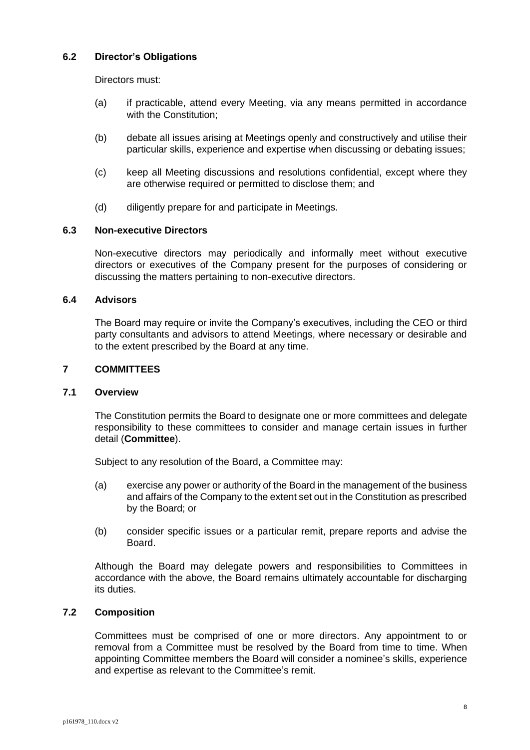# **6.2 Director's Obligations**

Directors must:

- (a) if practicable, attend every Meeting, via any means permitted in accordance with the Constitution;
- (b) debate all issues arising at Meetings openly and constructively and utilise their particular skills, experience and expertise when discussing or debating issues;
- (c) keep all Meeting discussions and resolutions confidential, except where they are otherwise required or permitted to disclose them; and
- (d) diligently prepare for and participate in Meetings.

## **6.3 Non-executive Directors**

Non-executive directors may periodically and informally meet without executive directors or executives of the Company present for the purposes of considering or discussing the matters pertaining to non-executive directors.

### **6.4 Advisors**

The Board may require or invite the Company's executives, including the CEO or third party consultants and advisors to attend Meetings, where necessary or desirable and to the extent prescribed by the Board at any time.

# **7 COMMITTEES**

### **7.1 Overview**

The Constitution permits the Board to designate one or more committees and delegate responsibility to these committees to consider and manage certain issues in further detail (**Committee**).

Subject to any resolution of the Board, a Committee may:

- (a) exercise any power or authority of the Board in the management of the business and affairs of the Company to the extent set out in the Constitution as prescribed by the Board; or
- (b) consider specific issues or a particular remit, prepare reports and advise the Board.

Although the Board may delegate powers and responsibilities to Committees in accordance with the above, the Board remains ultimately accountable for discharging its duties.

# **7.2 Composition**

Committees must be comprised of one or more directors. Any appointment to or removal from a Committee must be resolved by the Board from time to time. When appointing Committee members the Board will consider a nominee's skills, experience and expertise as relevant to the Committee's remit.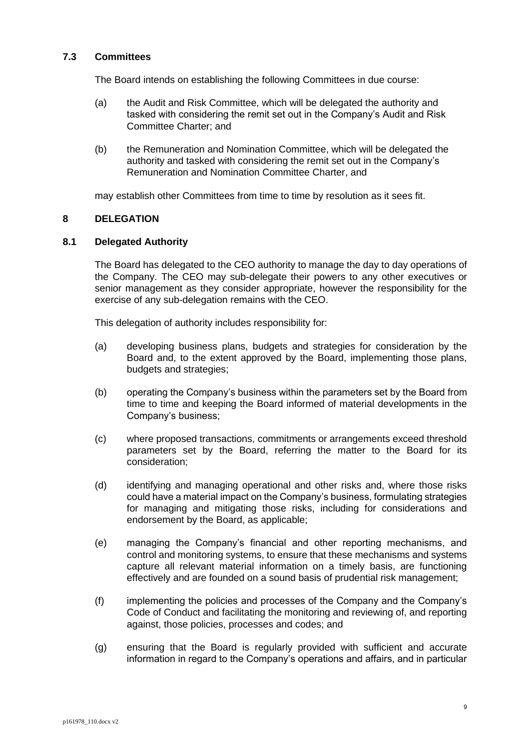## **7.3 Committees**

The Board intends on establishing the following Committees in due course:

- (a) the Audit and Risk Committee, which will be delegated the authority and tasked with considering the remit set out in the Company's Audit and Risk Committee Charter; and
- (b) the Remuneration and Nomination Committee, which will be delegated the authority and tasked with considering the remit set out in the Company's Remuneration and Nomination Committee Charter, and

may establish other Committees from time to time by resolution as it sees fit.

## **8 DELEGATION**

## **8.1 Delegated Authority**

The Board has delegated to the CEO authority to manage the day to day operations of the Company. The CEO may sub-delegate their powers to any other executives or senior management as they consider appropriate, however the responsibility for the exercise of any sub-delegation remains with the CEO.

This delegation of authority includes responsibility for:

- (a) developing business plans, budgets and strategies for consideration by the Board and, to the extent approved by the Board, implementing those plans, budgets and strategies;
- (b) operating the Company's business within the parameters set by the Board from time to time and keeping the Board informed of material developments in the Company's business;
- (c) where proposed transactions, commitments or arrangements exceed threshold parameters set by the Board, referring the matter to the Board for its consideration;
- (d) identifying and managing operational and other risks and, where those risks could have a material impact on the Company's business, formulating strategies for managing and mitigating those risks, including for considerations and endorsement by the Board, as applicable;
- (e) managing the Company's financial and other reporting mechanisms, and control and monitoring systems, to ensure that these mechanisms and systems capture all relevant material information on a timely basis, are functioning effectively and are founded on a sound basis of prudential risk management;
- (f) implementing the policies and processes of the Company and the Company's Code of Conduct and facilitating the monitoring and reviewing of, and reporting against, those policies, processes and codes; and
- (g) ensuring that the Board is regularly provided with sufficient and accurate information in regard to the Company's operations and affairs, and in particular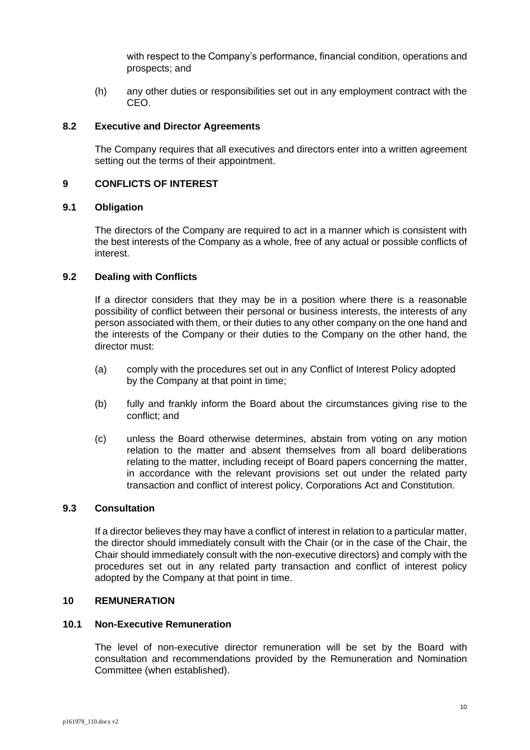with respect to the Company's performance, financial condition, operations and prospects; and

(h) any other duties or responsibilities set out in any employment contract with the CEO.

## **8.2 Executive and Director Agreements**

The Company requires that all executives and directors enter into a written agreement setting out the terms of their appointment.

## **9 CONFLICTS OF INTEREST**

## **9.1 Obligation**

The directors of the Company are required to act in a manner which is consistent with the best interests of the Company as a whole, free of any actual or possible conflicts of interest.

## **9.2 Dealing with Conflicts**

If a director considers that they may be in a position where there is a reasonable possibility of conflict between their personal or business interests, the interests of any person associated with them, or their duties to any other company on the one hand and the interests of the Company or their duties to the Company on the other hand, the director must:

- (a) comply with the procedures set out in any Conflict of Interest Policy adopted by the Company at that point in time;
- (b) fully and frankly inform the Board about the circumstances giving rise to the conflict; and
- (c) unless the Board otherwise determines, abstain from voting on any motion relation to the matter and absent themselves from all board deliberations relating to the matter, including receipt of Board papers concerning the matter, in accordance with the relevant provisions set out under the related party transaction and conflict of interest policy, Corporations Act and Constitution.

### **9.3 Consultation**

If a director believes they may have a conflict of interest in relation to a particular matter, the director should immediately consult with the Chair (or in the case of the Chair, the Chair should immediately consult with the non-executive directors) and comply with the procedures set out in any related party transaction and conflict of interest policy adopted by the Company at that point in time.

# **10 REMUNERATION**

# **10.1 Non-Executive Remuneration**

The level of non-executive director remuneration will be set by the Board with consultation and recommendations provided by the Remuneration and Nomination Committee (when established).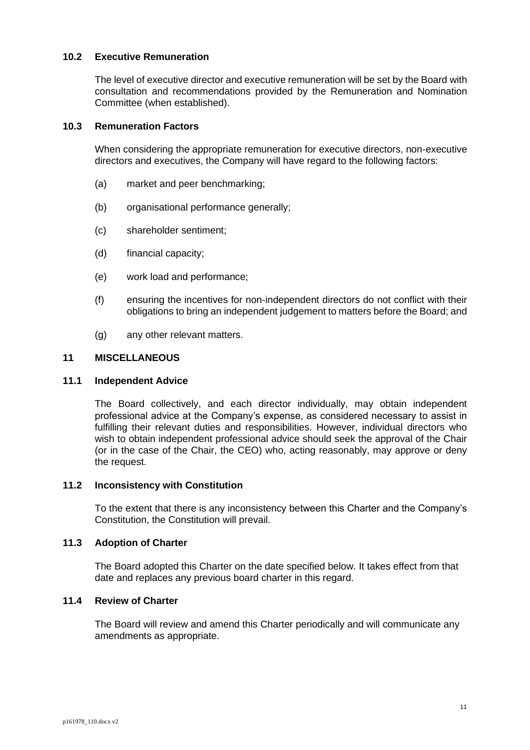# **10.2 Executive Remuneration**

The level of executive director and executive remuneration will be set by the Board with consultation and recommendations provided by the Remuneration and Nomination Committee (when established).

## **10.3 Remuneration Factors**

When considering the appropriate remuneration for executive directors, non-executive directors and executives, the Company will have regard to the following factors:

- (a) market and peer benchmarking;
- (b) organisational performance generally;
- (c) shareholder sentiment;
- (d) financial capacity;
- (e) work load and performance;
- (f) ensuring the incentives for non-independent directors do not conflict with their obligations to bring an independent judgement to matters before the Board; and
- (g) any other relevant matters.

## **11 MISCELLANEOUS**

### **11.1 Independent Advice**

The Board collectively, and each director individually, may obtain independent professional advice at the Company's expense, as considered necessary to assist in fulfilling their relevant duties and responsibilities. However, individual directors who wish to obtain independent professional advice should seek the approval of the Chair (or in the case of the Chair, the CEO) who, acting reasonably, may approve or deny the request.

### **11.2 Inconsistency with Constitution**

To the extent that there is any inconsistency between this Charter and the Company's Constitution, the Constitution will prevail.

### **11.3 Adoption of Charter**

The Board adopted this Charter on the date specified below. It takes effect from that date and replaces any previous board charter in this regard.

# **11.4 Review of Charter**

The Board will review and amend this Charter periodically and will communicate any amendments as appropriate.